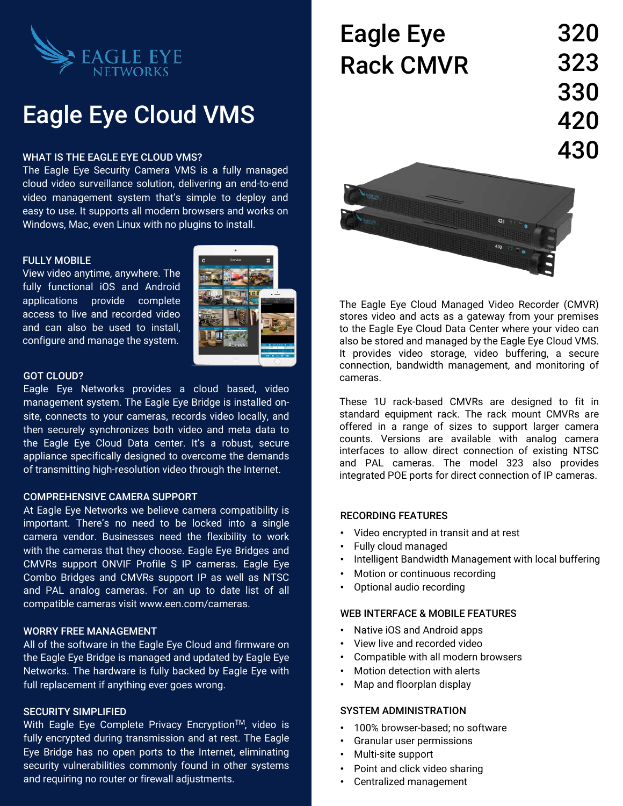

# Eagle Eye Cloud VMS

#### WHAT IS THE EAGLE EYE CLOUD VMS?

The Eagle Eye Security Camera VMS is a fully managed cloud video surveillance solution, delivering an end-to-end video management system that's simple to deploy and easy to use. It supports all modern browsers and works on Windows, Mac, even Linux with no plugins to install.

# FULLY MOBILE

View video anytime, anywhere. The fully functional iOS and Android applications provide complete access to live and recorded video and can also be used to install, configure and manage the system.



### GOT CLOUD?

Eagle Eye Networks provides a cloud based, video management system. The Eagle Eye Bridge is installed onsite, connects to your cameras, records video locally, and then securely synchronizes both video and meta data to the Eagle Eye Cloud Data center. It's a robust, secure appliance specifically designed to overcome the demands of transmitting high-resolution video through the Internet.

#### COMPREHENSIVE CAMERA SUPPORT

At Eagle Eye Networks we believe camera compatibility is important. There's no need to be locked into a single camera vendor. Businesses need the flexibility to work with the cameras that they choose. Eagle Eye Bridges and CMVRs support ONVIF Profile S IP cameras. Eagle Eye Combo Bridges and CMVRs support IP as well as NTSC and PAL analog cameras. For an up to date list of all compatible cameras visit www.een.com/cameras.

#### WORRY FREE MANAGEMENT

All of the software in the Eagle Eye Cloud and firmware on the Eagle Eye Bridge is managed and updated by Eagle Eye Networks. The hardware is fully backed by Eagle Eye with full replacement if anything ever goes wrong.

#### SECURITY SIMPLIFIED

With Eagle Eye Complete Privacy Encryption™, video is fully encrypted during transmission and at rest. The Eagle Eye Bridge has no open ports to the Internet, eliminating security vulnerabilities commonly found in other systems and requiring no router or firewall adjustments.

| <b>Eagle Eye</b> | 320 |
|------------------|-----|
| <b>Rack CMVR</b> | 323 |
|                  | 330 |
|                  | 420 |
|                  | 430 |
|                  |     |



The Eagle Eye Cloud Managed Video Recorder (CMVR) stores video and acts as a gateway from your premises to the Eagle Eye Cloud Data Center where your video can also be stored and managed by the Eagle Eye Cloud VMS. It provides video storage, video buffering, a secure connection, bandwidth management, and monitoring of cameras.

These 1U rack-based CMVRs are designed to fit in standard equipment rack. The rack mount CMVRs are offered in a range of sizes to support larger camera counts. Versions are available with analog camera interfaces to allow direct connection of existing NTSC and PAL cameras. The model 323 also provides integrated POE ports for direct connection of IP cameras.

#### RECORDING FEATURES

- Video encrypted in transit and at rest
- Fully cloud managed
- Intelligent Bandwidth Management with local buffering
- Motion or continuous recording
- Optional audio recording

#### WEB INTERFACE & MOBILE FEATURES

- Native iOS and Android apps
- View live and recorded video
- Compatible with all modern browsers
- Motion detection with alerts
- Map and floorplan display

# SYSTEM ADMINISTRATION

- 100% browser-based; no software
- Granular user permissions
- Multi-site support
- Point and click video sharing
- Centralized management